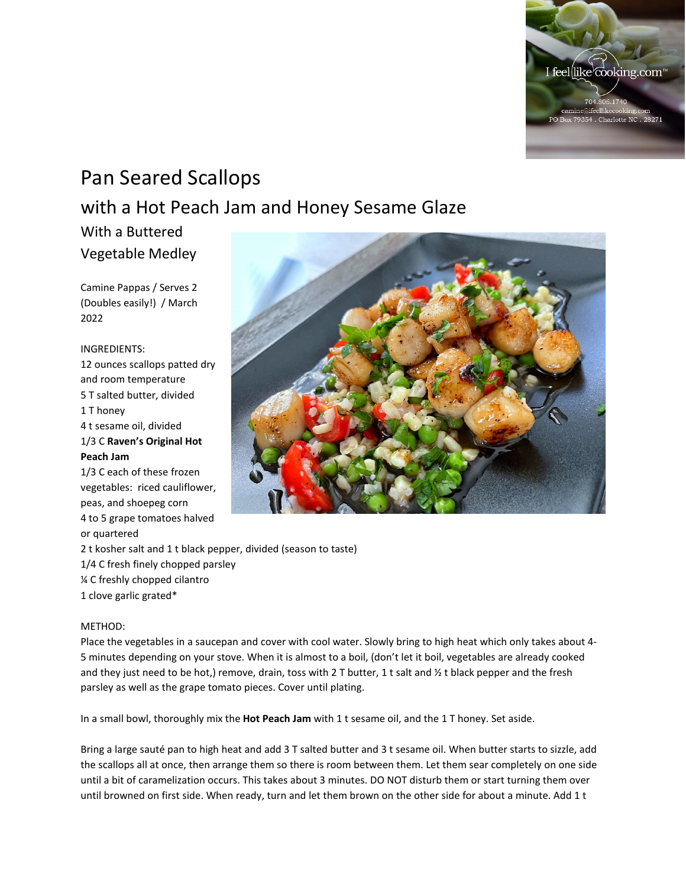

## Pan Seared Scallops with a Hot Peach Jam and Honey Sesame Glaze

With a Buttered Vegetable Medley

Camine Pappas / Serves 2 (Doubles easily!) / March 2022

INGREDIENTS: 12 ounces scallops patted dry and room temperature 5 T salted butter, divided 1 T honey 4 t sesame oil, divided 1/3 C **Raven's Original Hot Peach Jam** 1/3 C each of these frozen vegetables: riced cauliflower, peas, and shoepeg corn

4 to 5 grape tomatoes halved or quartered 2 t kosher salt and 1 t black pepper, divided (season to taste) 1/4 C fresh finely chopped parsley ¼ C freshly chopped cilantro 1 clove garlic grated\*

## METHOD:

Place the vegetables in a saucepan and cover with cool water. Slowly bring to high heat which only takes about 4- 5 minutes depending on your stove. When it is almost to a boil, (don't let it boil, vegetables are already cooked and they just need to be hot,) remove, drain, toss with 2 T butter, 1 t salt and % t black pepper and the fresh parsley as well as the grape tomato pieces. Cover until plating.

In a small bowl, thoroughly mix the **Hot Peach Jam** with 1 t sesame oil, and the 1 T honey. Set aside.

Bring a large sauté pan to high heat and add 3 T salted butter and 3 t sesame oil. When butter starts to sizzle, add the scallops all at once, then arrange them so there is room between them. Let them sear completely on one side until a bit of caramelization occurs. This takes about 3 minutes. DO NOT disturb them or start turning them over until browned on first side. When ready, turn and let them brown on the other side for about a minute. Add 1 t